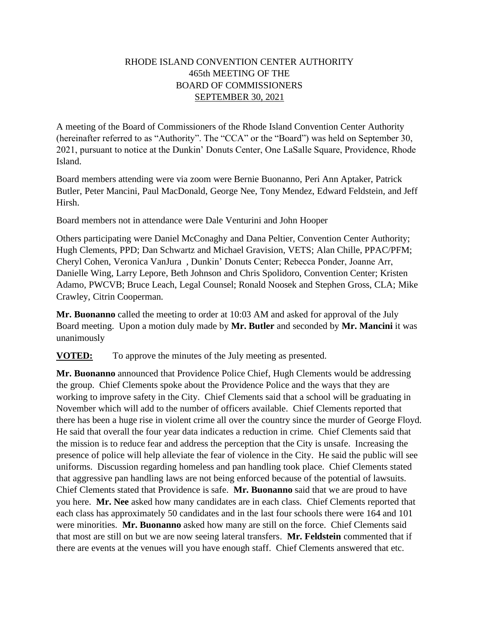## RHODE ISLAND CONVENTION CENTER AUTHORITY 465th MEETING OF THE BOARD OF COMMISSIONERS SEPTEMBER 30, 2021

A meeting of the Board of Commissioners of the Rhode Island Convention Center Authority (hereinafter referred to as "Authority". The "CCA" or the "Board") was held on September 30, 2021, pursuant to notice at the Dunkin' Donuts Center, One LaSalle Square, Providence, Rhode Island.

Board members attending were via zoom were Bernie Buonanno, Peri Ann Aptaker, Patrick Butler, Peter Mancini, Paul MacDonald, George Nee, Tony Mendez, Edward Feldstein, and Jeff Hirsh.

Board members not in attendance were Dale Venturini and John Hooper

Others participating were Daniel McConaghy and Dana Peltier, Convention Center Authority; Hugh Clements, PPD; Dan Schwartz and Michael Gravision, VETS; Alan Chille, PPAC/PFM; Cheryl Cohen, Veronica VanJura , Dunkin' Donuts Center; Rebecca Ponder, Joanne Arr, Danielle Wing, Larry Lepore, Beth Johnson and Chris Spolidoro, Convention Center; Kristen Adamo, PWCVB; Bruce Leach, Legal Counsel; Ronald Noosek and Stephen Gross, CLA; Mike Crawley, Citrin Cooperman.

**Mr. Buonanno** called the meeting to order at 10:03 AM and asked for approval of the July Board meeting. Upon a motion duly made by **Mr. Butler** and seconded by **Mr. Mancini** it was unanimously

**VOTED:** To approve the minutes of the July meeting as presented.

**Mr. Buonanno** announced that Providence Police Chief, Hugh Clements would be addressing the group. Chief Clements spoke about the Providence Police and the ways that they are working to improve safety in the City. Chief Clements said that a school will be graduating in November which will add to the number of officers available. Chief Clements reported that there has been a huge rise in violent crime all over the country since the murder of George Floyd. He said that overall the four year data indicates a reduction in crime. Chief Clements said that the mission is to reduce fear and address the perception that the City is unsafe. Increasing the presence of police will help alleviate the fear of violence in the City. He said the public will see uniforms. Discussion regarding homeless and pan handling took place. Chief Clements stated that aggressive pan handling laws are not being enforced because of the potential of lawsuits. Chief Clements stated that Providence is safe. **Mr. Buonanno** said that we are proud to have you here. **Mr. Nee** asked how many candidates are in each class. Chief Clements reported that each class has approximately 50 candidates and in the last four schools there were 164 and 101 were minorities. **Mr. Buonanno** asked how many are still on the force. Chief Clements said that most are still on but we are now seeing lateral transfers. **Mr. Feldstein** commented that if there are events at the venues will you have enough staff. Chief Clements answered that etc.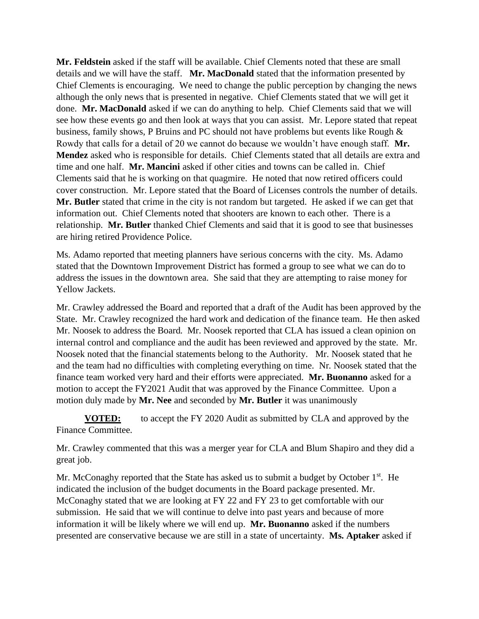**Mr. Feldstein** asked if the staff will be available. Chief Clements noted that these are small details and we will have the staff. **Mr. MacDonald** stated that the information presented by Chief Clements is encouraging. We need to change the public perception by changing the news although the only news that is presented in negative. Chief Clements stated that we will get it done. **Mr. MacDonald** asked if we can do anything to help. Chief Clements said that we will see how these events go and then look at ways that you can assist. Mr. Lepore stated that repeat business, family shows, P Bruins and PC should not have problems but events like Rough & Rowdy that calls for a detail of 20 we cannot do because we wouldn't have enough staff. **Mr. Mendez** asked who is responsible for details. Chief Clements stated that all details are extra and time and one half. **Mr. Mancini** asked if other cities and towns can be called in. Chief Clements said that he is working on that quagmire. He noted that now retired officers could cover construction. Mr. Lepore stated that the Board of Licenses controls the number of details. **Mr. Butler** stated that crime in the city is not random but targeted. He asked if we can get that information out. Chief Clements noted that shooters are known to each other. There is a relationship. **Mr. Butler** thanked Chief Clements and said that it is good to see that businesses are hiring retired Providence Police.

Ms. Adamo reported that meeting planners have serious concerns with the city. Ms. Adamo stated that the Downtown Improvement District has formed a group to see what we can do to address the issues in the downtown area. She said that they are attempting to raise money for Yellow Jackets.

Mr. Crawley addressed the Board and reported that a draft of the Audit has been approved by the State. Mr. Crawley recognized the hard work and dedication of the finance team. He then asked Mr. Noosek to address the Board. Mr. Noosek reported that CLA has issued a clean opinion on internal control and compliance and the audit has been reviewed and approved by the state. Mr. Noosek noted that the financial statements belong to the Authority. Mr. Noosek stated that he and the team had no difficulties with completing everything on time. Nr. Noosek stated that the finance team worked very hard and their efforts were appreciated. **Mr. Buonanno** asked for a motion to accept the FY2021 Audit that was approved by the Finance Committee. Upon a motion duly made by **Mr. Nee** and seconded by **Mr. Butler** it was unanimously

**VOTED:** to accept the FY 2020 Audit as submitted by CLA and approved by the Finance Committee.

Mr. Crawley commented that this was a merger year for CLA and Blum Shapiro and they did a great job.

Mr. McConaghy reported that the State has asked us to submit a budget by October  $1<sup>st</sup>$ . He indicated the inclusion of the budget documents in the Board package presented. Mr. McConaghy stated that we are looking at FY 22 and FY 23 to get comfortable with our submission. He said that we will continue to delve into past years and because of more information it will be likely where we will end up. **Mr. Buonanno** asked if the numbers presented are conservative because we are still in a state of uncertainty. **Ms. Aptaker** asked if